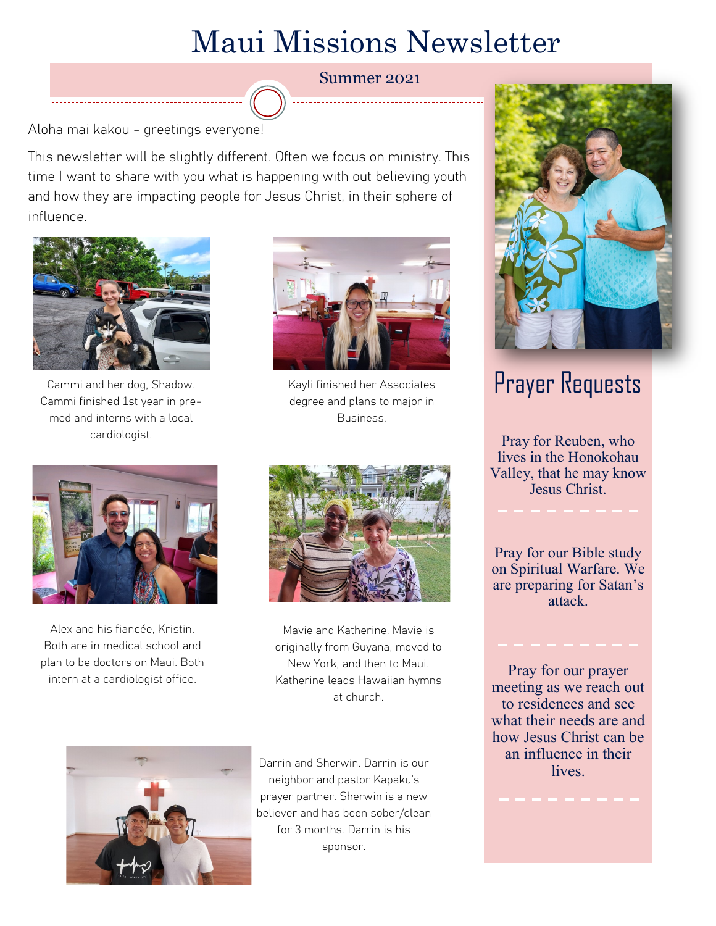## Maui Missions Newsletter

Summer 2021

Aloha mai kakou - greetings everyone!

This newsletter will be slightly different. Often we focus on ministry. This time I want to share with you what is happening with out believing youth and how they are impacting people for Jesus Christ, in their sphere of influence.



Cammi and her dog, Shadow. Cammi finished 1st year in premed and interns with a local cardiologist.



Kayli finished her Associates degree and plans to major in Business.



Alex and his fiancée, Kristin. Both are in medical school and plan to be doctors on Maui. Both intern at a cardiologist office.



Mavie and Katherine. Mavie is originally from Guyana, moved to New York, and then to Maui. Katherine leads Hawaiian hymns at church.



Darrin and Sherwin. Darrin is our neighbor and pastor Kapaku's prayer partner. Sherwin is a new believer and has been sober/clean for 3 months. Darrin is his sponsor.



## Prayer Requests

Pray for Reuben, who lives in the Honokohau Valley, that he may know Jesus Christ.

Pray for our Bible study on Spiritual Warfare. We are preparing for Satan's attack.

Pray for our prayer meeting as we reach out to residences and see what their needs are and how Jesus Christ can be an influence in their lives.